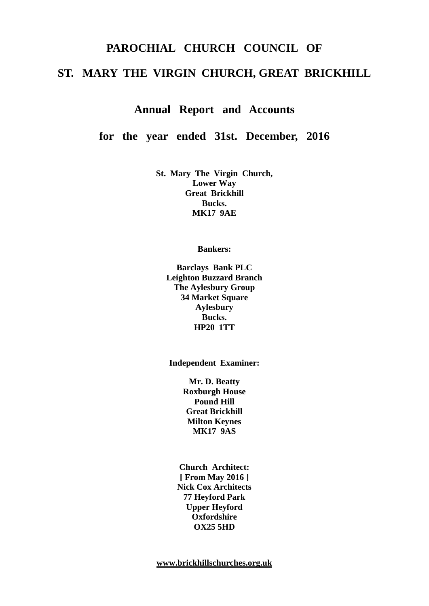# **PAROCHIAL CHURCH COUNCIL OF ST. MARY THE VIRGIN CHURCH, GREAT BRICKHILL**

**Annual Report and Accounts**

**for the year ended 31st. December, 2016**

**St. Mary The Virgin Church, Lower Way Great Brickhill Bucks. MK17 9AE**

**Bankers:**

**Barclays Bank PLC Leighton Buzzard Branch The Aylesbury Group 34 Market Square Aylesbury Bucks. HP20 1TT**

**Independent Examiner:**

**Mr. D. Beatty Roxburgh House Pound Hill Great Brickhill Milton Keynes MK17 9AS**

**Church Architect: [ From May 2016 ] Nick Cox Architects 77 Heyford Park Upper Heyford Oxfordshire OX25 5HD**

**[www.brickhillschurches.org.uk](http://www.brickhillschurches.org.uk/)**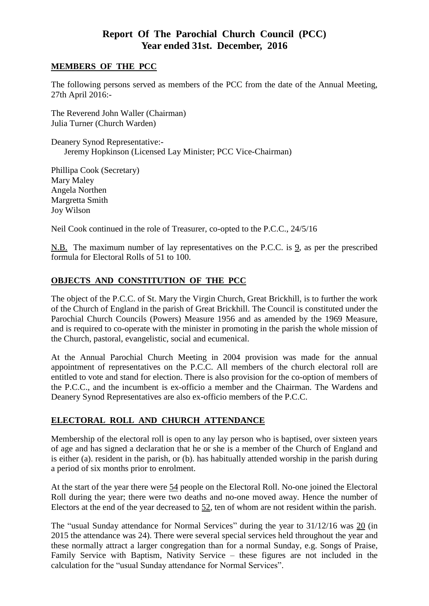## **Report Of The Parochial Church Council (PCC) Year ended 31st. December, 2016**

#### **MEMBERS OF THE PCC**

The following persons served as members of the PCC from the date of the Annual Meeting, 27th April 2016:-

The Reverend John Waller (Chairman) Julia Turner (Church Warden)

Deanery Synod Representative:- Jeremy Hopkinson (Licensed Lay Minister; PCC Vice-Chairman)

Phillipa Cook (Secretary) Mary Maley Angela Northen Margretta Smith Joy Wilson

Neil Cook continued in the role of Treasurer, co-opted to the P.C.C., 24/5/16

N.B. The maximum number of lay representatives on the P.C.C. is 9, as per the prescribed formula for Electoral Rolls of 51 to 100.

## **OBJECTS AND CONSTITUTION OF THE PCC**

The object of the P.C.C. of St. Mary the Virgin Church, Great Brickhill, is to further the work of the Church of England in the parish of Great Brickhill. The Council is constituted under the Parochial Church Councils (Powers) Measure 1956 and as amended by the 1969 Measure, and is required to co-operate with the minister in promoting in the parish the whole mission of the Church, pastoral, evangelistic, social and ecumenical.

At the Annual Parochial Church Meeting in 2004 provision was made for the annual appointment of representatives on the P.C.C. All members of the church electoral roll are entitled to vote and stand for election. There is also provision for the co-option of members of the P.C.C., and the incumbent is ex-officio a member and the Chairman. The Wardens and Deanery Synod Representatives are also ex-officio members of the P.C.C.

## **ELECTORAL ROLL AND CHURCH ATTENDANCE**

Membership of the electoral roll is open to any lay person who is baptised, over sixteen years of age and has signed a declaration that he or she is a member of the Church of England and is either (a). resident in the parish, or (b). has habitually attended worship in the parish during a period of six months prior to enrolment.

At the start of the year there were 54 people on the Electoral Roll. No-one joined the Electoral Roll during the year; there were two deaths and no-one moved away. Hence the number of Electors at the end of the year decreased to 52, ten of whom are not resident within the parish.

The "usual Sunday attendance for Normal Services" during the year to 31/12/16 was 20 (in 2015 the attendance was 24). There were several special services held throughout the year and these normally attract a larger congregation than for a normal Sunday, e.g. Songs of Praise, Family Service with Baptism, Nativity Service – these figures are not included in the calculation for the "usual Sunday attendance for Normal Services".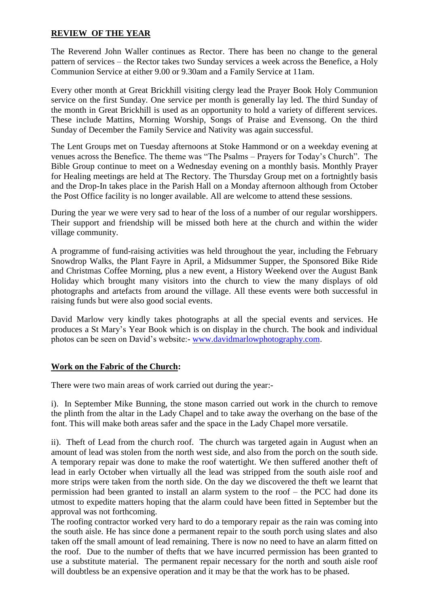#### **REVIEW OF THE YEAR**

The Reverend John Waller continues as Rector. There has been no change to the general pattern of services – the Rector takes two Sunday services a week across the Benefice, a Holy Communion Service at either 9.00 or 9.30am and a Family Service at 11am.

Every other month at Great Brickhill visiting clergy lead the Prayer Book Holy Communion service on the first Sunday. One service per month is generally lay led. The third Sunday of the month in Great Brickhill is used as an opportunity to hold a variety of different services. These include Mattins, Morning Worship, Songs of Praise and Evensong. On the third Sunday of December the Family Service and Nativity was again successful.

The Lent Groups met on Tuesday afternoons at Stoke Hammond or on a weekday evening at venues across the Benefice. The theme was "The Psalms – Prayers for Today's Church". The Bible Group continue to meet on a Wednesday evening on a monthly basis. Monthly Prayer for Healing meetings are held at The Rectory. The Thursday Group met on a fortnightly basis and the Drop-In takes place in the Parish Hall on a Monday afternoon although from October the Post Office facility is no longer available. All are welcome to attend these sessions.

During the year we were very sad to hear of the loss of a number of our regular worshippers. Their support and friendship will be missed both here at the church and within the wider village community.

A programme of fund-raising activities was held throughout the year, including the February Snowdrop Walks, the Plant Fayre in April, a Midsummer Supper, the Sponsored Bike Ride and Christmas Coffee Morning, plus a new event, a History Weekend over the August Bank Holiday which brought many visitors into the church to view the many displays of old photographs and artefacts from around the village. All these events were both successful in raising funds but were also good social events.

David Marlow very kindly takes photographs at all the special events and services. He produces a St Mary's Year Book which is on display in the church. The book and individual photos can be seen on David's website:- [www.davidmarlowphotography.com.](http://www.davidmarlowphotography.com/)

#### **Work on the Fabric of the Church:**

There were two main areas of work carried out during the year:-

i). In September Mike Bunning, the stone mason carried out work in the church to remove the plinth from the altar in the Lady Chapel and to take away the overhang on the base of the font. This will make both areas safer and the space in the Lady Chapel more versatile.

ii). Theft of Lead from the church roof. The church was targeted again in August when an amount of lead was stolen from the north west side, and also from the porch on the south side. A temporary repair was done to make the roof watertight. We then suffered another theft of lead in early October when virtually all the lead was stripped from the south aisle roof and more strips were taken from the north side. On the day we discovered the theft we learnt that permission had been granted to install an alarm system to the roof – the PCC had done its utmost to expedite matters hoping that the alarm could have been fitted in September but the approval was not forthcoming.

The roofing contractor worked very hard to do a temporary repair as the rain was coming into the south aisle. He has since done a permanent repair to the south porch using slates and also taken off the small amount of lead remaining. There is now no need to have an alarm fitted on the roof. Due to the number of thefts that we have incurred permission has been granted to use a substitute material. The permanent repair necessary for the north and south aisle roof will doubtless be an expensive operation and it may be that the work has to be phased.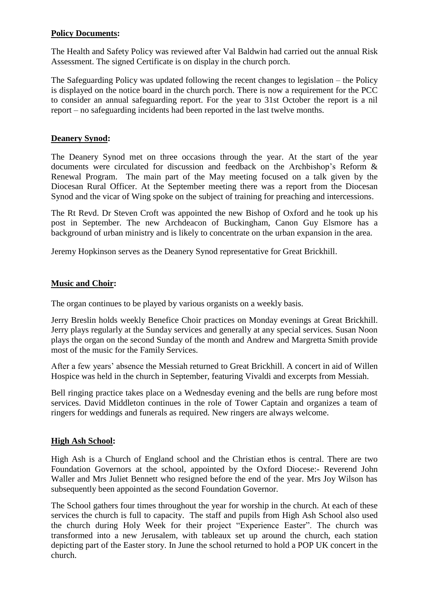#### **Policy Documents:**

The Health and Safety Policy was reviewed after Val Baldwin had carried out the annual Risk Assessment. The signed Certificate is on display in the church porch.

The Safeguarding Policy was updated following the recent changes to legislation – the Policy is displayed on the notice board in the church porch. There is now a requirement for the PCC to consider an annual safeguarding report. For the year to 31st October the report is a nil report – no safeguarding incidents had been reported in the last twelve months.

#### **Deanery Synod:**

The Deanery Synod met on three occasions through the year. At the start of the year documents were circulated for discussion and feedback on the Archbishop's Reform & Renewal Program. The main part of the May meeting focused on a talk given by the Diocesan Rural Officer. At the September meeting there was a report from the Diocesan Synod and the vicar of Wing spoke on the subject of training for preaching and intercessions.

The Rt Revd. Dr Steven Croft was appointed the new Bishop of Oxford and he took up his post in September. The new Archdeacon of Buckingham, Canon Guy Elsmore has a background of urban ministry and is likely to concentrate on the urban expansion in the area.

Jeremy Hopkinson serves as the Deanery Synod representative for Great Brickhill.

#### **Music and Choir:**

The organ continues to be played by various organists on a weekly basis.

Jerry Breslin holds weekly Benefice Choir practices on Monday evenings at Great Brickhill. Jerry plays regularly at the Sunday services and generally at any special services. Susan Noon plays the organ on the second Sunday of the month and Andrew and Margretta Smith provide most of the music for the Family Services.

After a few years' absence the Messiah returned to Great Brickhill. A concert in aid of Willen Hospice was held in the church in September, featuring Vivaldi and excerpts from Messiah.

Bell ringing practice takes place on a Wednesday evening and the bells are rung before most services. David Middleton continues in the role of Tower Captain and organizes a team of ringers for weddings and funerals as required. New ringers are always welcome.

#### **High Ash School:**

High Ash is a Church of England school and the Christian ethos is central. There are two Foundation Governors at the school, appointed by the Oxford Diocese:- Reverend John Waller and Mrs Juliet Bennett who resigned before the end of the year. Mrs Joy Wilson has subsequently been appointed as the second Foundation Governor.

The School gathers four times throughout the year for worship in the church. At each of these services the church is full to capacity. The staff and pupils from High Ash School also used the church during Holy Week for their project "Experience Easter". The church was transformed into a new Jerusalem, with tableaux set up around the church, each station depicting part of the Easter story. In June the school returned to hold a POP UK concert in the church.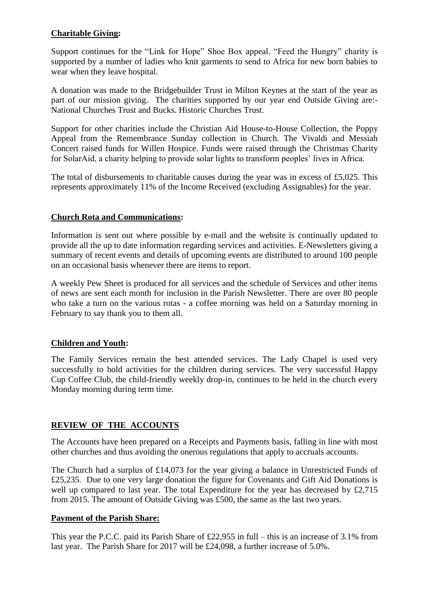## **Charitable Giving:**

Support continues for the "Link for Hope" Shoe Box appeal. "Feed the Hungry" charity is supported by a number of ladies who knit garments to send to Africa for new born babies to wear when they leave hospital.

A donation was made to the Bridgebuilder Trust in Milton Keynes at the start of the year as part of our mission giving. The charities supported by our year end Outside Giving are:- National Churches Trust and Bucks. Historic Churches Trust.

Support for other charities include the Christian Aid House-to-House Collection, the Poppy Appeal from the Remembrance Sunday collection in Church. The Vivaldi and Messiah Concert raised funds for Willen Hospice. Funds were raised through the Christmas Charity for SolarAid, a charity helping to provide solar lights to transform peoples' lives in Africa.

The total of disbursements to charitable causes during the year was in excess of £5,025. This represents approximately 11% of the Income Received (excluding Assignables) for the year.

#### **Church Rota and Communications:**

Information is sent out where possible by e-mail and the website is continually updated to provide all the up to date information regarding services and activities. E-Newsletters giving a summary of recent events and details of upcoming events are distributed to around 100 people on an occasional basis whenever there are items to report.

A weekly Pew Sheet is produced for all services and the schedule of Services and other items of news are sent each month for inclusion in the Parish Newsletter. There are over 80 people who take a turn on the various rotas - a coffee morning was held on a Saturday morning in February to say thank you to them all.

#### **Children and Youth:**

The Family Services remain the best attended services. The Lady Chapel is used very successfully to hold activities for the children during services. The very successful Happy Cup Coffee Club, the child-friendly weekly drop-in, continues to be held in the church every Monday morning during term time.

#### **REVIEW OF THE ACCOUNTS**

The Accounts have been prepared on a Receipts and Payments basis, falling in line with most other churches and thus avoiding the onerous regulations that apply to accruals accounts.

The Church had a surplus of £14,073 for the year giving a balance in Unrestricted Funds of £25,235. Due to one very large donation the figure for Covenants and Gift Aid Donations is well up compared to last year. The total Expenditure for the year has decreased by £2,715 from 2015. The amount of Outside Giving was £500, the same as the last two years.

#### **Payment of the Parish Share:**

This year the P.C.C. paid its Parish Share of £22,955 in full – this is an increase of 3.1% from last year. The Parish Share for 2017 will be £24,098, a further increase of 5.0%.